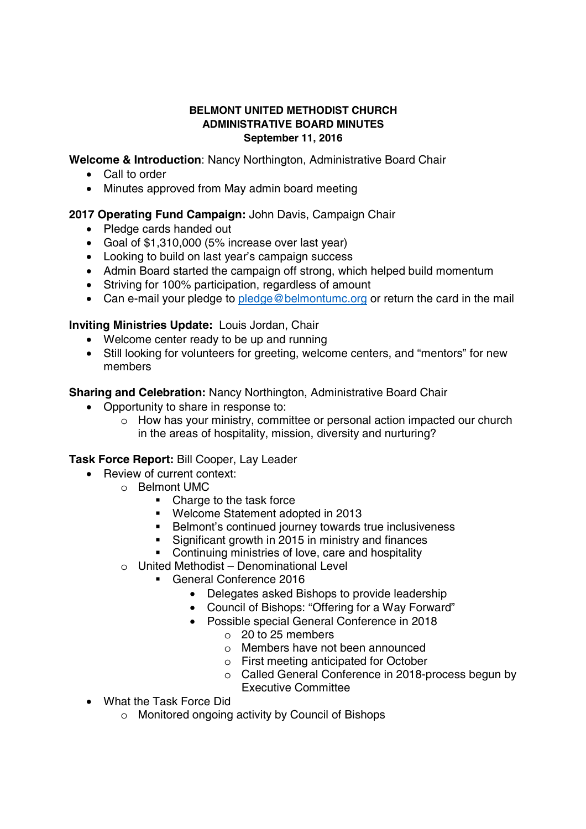#### **BELMONT UNITED METHODIST CHURCH ADMINISTRATIVE BOARD MINUTES September 11, 2016**

**Welcome & Introduction**: Nancy Northington, Administrative Board Chair

- $\bullet$  Call to order
- Minutes approved from May admin board meeting

# **2017 Operating Fund Campaign:** John Davis, Campaign Chair

- Pledge cards handed out
- Goal of \$1,310,000 (5% increase over last year)
- Looking to build on last year's campaign success
- Admin Board started the campaign off strong, which helped build momentum
- Striving for 100% participation, regardless of amount
- Can e-mail your pledge to pledge@belmontumc.org or return the card in the mail

### **Inviting Ministries Update:** Louis Jordan, Chair

- Welcome center ready to be up and running
- Still looking for volunteers for greeting, welcome centers, and "mentors" for new members

**Sharing and Celebration:** Nancy Northington, Administrative Board Chair

- Opportunity to share in response to:
	- o How has your ministry, committee or personal action impacted our church in the areas of hospitality, mission, diversity and nurturing?

### **Task Force Report:** Bill Cooper, Lay Leader

- Review of current context:
	- o Belmont UMC
		- Charge to the task force
		- Welcome Statement adopted in 2013
		- **Belmont's continued journey towards true inclusiveness**
		- **Significant growth in 2015 in ministry and finances**
		- Continuing ministries of love, care and hospitality
	- $\circ$  United Methodist Denominational Level
		- General Conference 2016
			- Delegates asked Bishops to provide leadership
			- Council of Bishops: "Offering for a Way Forward"
			- Possible special General Conference in 2018
				- o 20 to 25 members
				- o Members have not been announced
				- o First meeting anticipated for October
				- o Called General Conference in 2018-process begun by Executive Committee
- What the Task Force Did
	- o Monitored ongoing activity by Council of Bishops